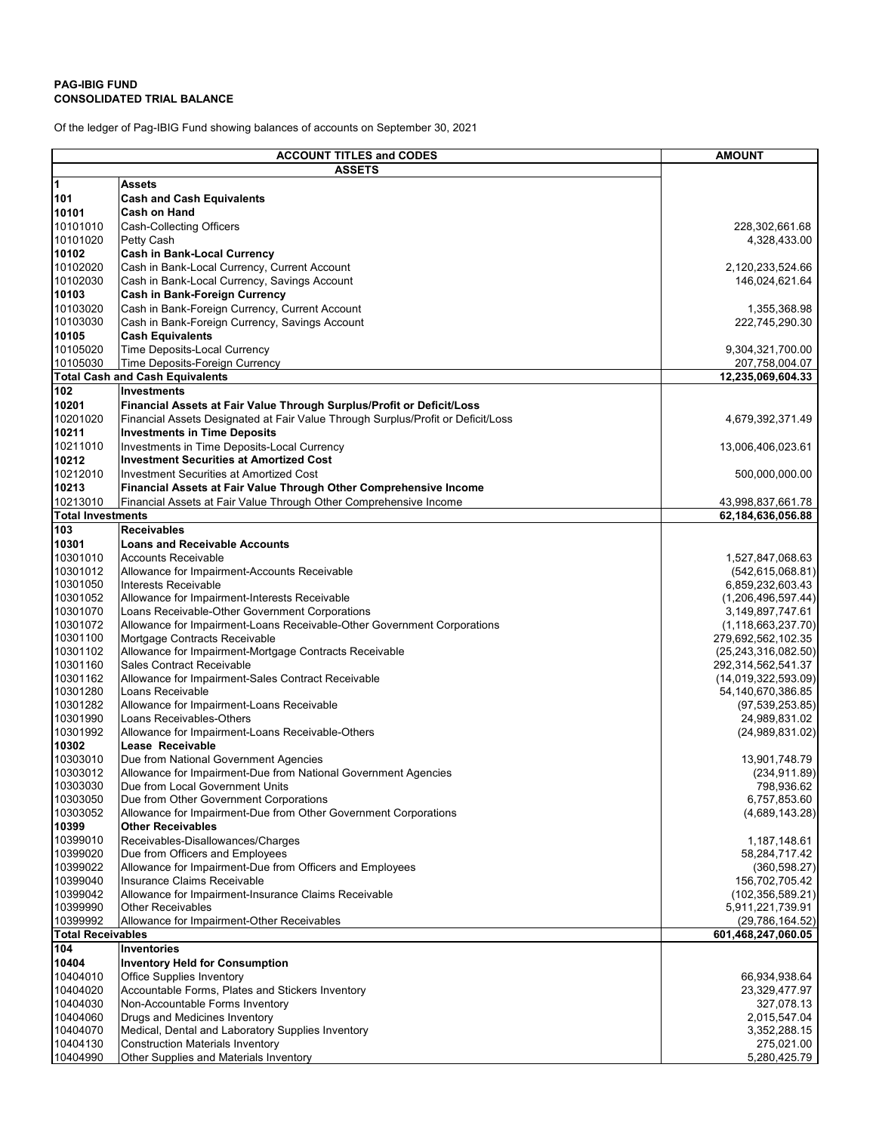## **PAG-IBIG FUND CONSOLIDATED TRIAL BALANCE**

Of the ledger of Pag-IBIG Fund showing balances of accounts on September 30, 2021

| <b>ACCOUNT TITLES and CODES</b>                |                                                                                                                     | <b>AMOUNT</b>                                |
|------------------------------------------------|---------------------------------------------------------------------------------------------------------------------|----------------------------------------------|
| <b>ASSETS</b>                                  |                                                                                                                     |                                              |
| 1                                              | Assets                                                                                                              |                                              |
| 101                                            | <b>Cash and Cash Equivalents</b>                                                                                    |                                              |
| 10101                                          | Cash on Hand                                                                                                        |                                              |
| 10101010                                       | Cash-Collecting Officers                                                                                            | 228,302,661.68                               |
| 10101020                                       | Petty Cash                                                                                                          | 4,328,433.00                                 |
| 10102                                          | <b>Cash in Bank-Local Currency</b>                                                                                  |                                              |
| 10102020<br>10102030                           | Cash in Bank-Local Currency, Current Account<br>Cash in Bank-Local Currency, Savings Account                        | 2,120,233,524.66<br>146,024,621.64           |
| 10103                                          | Cash in Bank-Foreign Currency                                                                                       |                                              |
| 10103020                                       | Cash in Bank-Foreign Currency, Current Account                                                                      | 1,355,368.98                                 |
| 10103030                                       | Cash in Bank-Foreign Currency, Savings Account                                                                      | 222,745,290.30                               |
| 10105                                          | <b>Cash Equivalents</b>                                                                                             |                                              |
| 10105020                                       | Time Deposits-Local Currency                                                                                        | 9,304,321,700.00                             |
| 10105030                                       | Time Deposits-Foreign Currency                                                                                      | 207,758,004.07                               |
|                                                | <b>Total Cash and Cash Equivalents</b>                                                                              | 12,235,069,604.33                            |
| 102                                            | <b>Investments</b>                                                                                                  |                                              |
| 10201                                          | Financial Assets at Fair Value Through Surplus/Profit or Deficit/Loss                                               |                                              |
| 10201020                                       | Financial Assets Designated at Fair Value Through Surplus/Profit or Deficit/Loss                                    | 4,679,392,371.49                             |
| 10211                                          | <b>Investments in Time Deposits</b>                                                                                 |                                              |
| 10211010                                       | Investments in Time Deposits-Local Currency                                                                         | 13,006,406,023.61                            |
| 10212                                          | <b>Investment Securities at Amortized Cost</b>                                                                      |                                              |
| 10212010<br>10213                              | <b>Investment Securities at Amortized Cost</b><br>Financial Assets at Fair Value Through Other Comprehensive Income | 500,000,000.00                               |
| 10213010                                       | Financial Assets at Fair Value Through Other Comprehensive Income                                                   | 43,998,837,661.78                            |
| <b>Total Investments</b>                       |                                                                                                                     | 62,184,636,056.88                            |
| 103                                            | <b>Receivables</b>                                                                                                  |                                              |
| 10301                                          | <b>Loans and Receivable Accounts</b>                                                                                |                                              |
| 10301010                                       | <b>Accounts Receivable</b>                                                                                          | 1,527,847,068.63                             |
| 10301012                                       | Allowance for Impairment-Accounts Receivable                                                                        | (542, 615, 068.81)                           |
| 10301050                                       | Interests Receivable                                                                                                | 6,859,232,603.43                             |
| 10301052                                       | Allowance for Impairment-Interests Receivable                                                                       | (1,206,496,597.44)                           |
| 10301070                                       | Loans Receivable-Other Government Corporations                                                                      | 3,149,897,747.61                             |
| 10301072                                       | Allowance for Impairment-Loans Receivable-Other Government Corporations                                             | (1, 118, 663, 237.70)                        |
| 10301100<br>10301102                           | Mortgage Contracts Receivable<br>Allowance for Impairment-Mortgage Contracts Receivable                             | 279,692,562,102.35                           |
| 10301160                                       | Sales Contract Receivable                                                                                           | (25, 243, 316, 082.50)<br>292,314,562,541.37 |
| 10301162                                       | Allowance for Impairment-Sales Contract Receivable                                                                  | (14, 019, 322, 593.09)                       |
| 10301280                                       | Loans Receivable                                                                                                    | 54,140,670,386.85                            |
| 10301282                                       | Allowance for Impairment-Loans Receivable                                                                           | (97, 539, 253.85)                            |
| 10301990                                       | Loans Receivables-Others                                                                                            | 24,989,831.02                                |
| 10301992                                       | Allowance for Impairment-Loans Receivable-Others                                                                    | (24,989,831.02)                              |
| 10302                                          | Lease Receivable                                                                                                    |                                              |
| 10303010                                       | Due from National Government Agencies                                                                               | 13,901,748.79                                |
| 10303012                                       | Allowance for Impairment-Due from National Government Agencies                                                      | (234, 911.89)                                |
| 10303030<br>10303050                           | Due from Local Government Units<br>Due from Other Government Corporations                                           | 798,936.62<br>6,757,853.60                   |
| 10303052                                       | Allowance for Impairment-Due from Other Government Corporations                                                     | (4,689,143.28)                               |
| 10399                                          | <b>Other Receivables</b>                                                                                            |                                              |
| 10399010                                       | Receivables-Disallowances/Charges                                                                                   | 1,187,148.61                                 |
| 10399020                                       | Due from Officers and Employees                                                                                     | 58,284,717.42                                |
| 10399022                                       | Allowance for Impairment-Due from Officers and Employees                                                            | (360, 598.27)                                |
| 10399040                                       | Insurance Claims Receivable                                                                                         | 156,702,705.42                               |
| 10399042                                       | Allowance for Impairment-Insurance Claims Receivable                                                                | (102, 356, 589.21)                           |
| 10399990                                       | <b>Other Receivables</b>                                                                                            | 5,911,221,739.91                             |
| 10399992                                       | Allowance for Impairment-Other Receivables                                                                          | (29, 786, 164.52)                            |
| <b>Total Receivables</b><br>601,468,247,060.05 |                                                                                                                     |                                              |
| 104<br>10404                                   | <b>Inventories</b><br><b>Inventory Held for Consumption</b>                                                         |                                              |
| 10404010                                       | <b>Office Supplies Inventory</b>                                                                                    | 66,934,938.64                                |
| 10404020                                       | Accountable Forms, Plates and Stickers Inventory                                                                    | 23,329,477.97                                |
| 10404030                                       | Non-Accountable Forms Inventory                                                                                     | 327,078.13                                   |
| 10404060                                       | Drugs and Medicines Inventory                                                                                       | 2,015,547.04                                 |
| 10404070                                       | Medical, Dental and Laboratory Supplies Inventory                                                                   | 3,352,288.15                                 |
| 10404130                                       | <b>Construction Materials Inventory</b>                                                                             | 275,021.00                                   |
| 10404990                                       | Other Supplies and Materials Inventory                                                                              | 5,280,425.79                                 |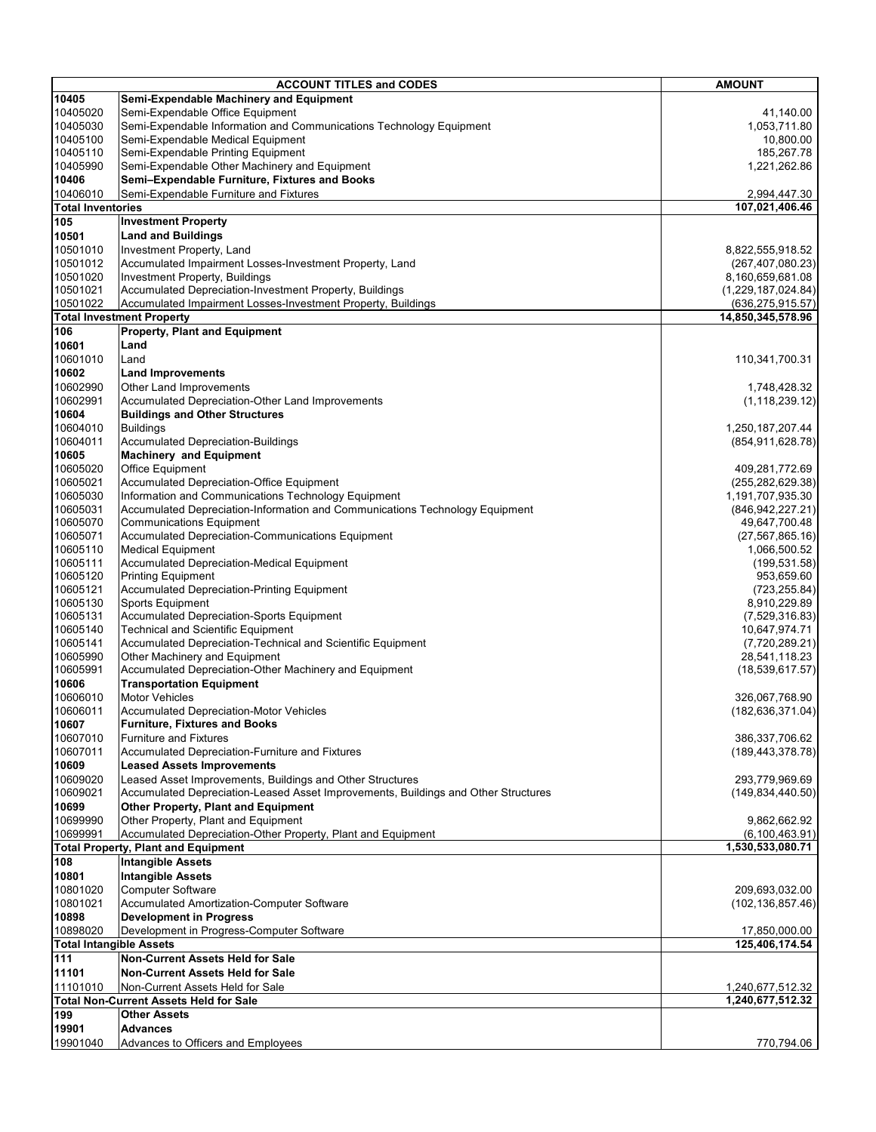| <b>ACCOUNT TITLES and CODES</b> |                                                                                                                                                 | <b>AMOUNT</b>                            |
|---------------------------------|-------------------------------------------------------------------------------------------------------------------------------------------------|------------------------------------------|
| 10405                           | Semi-Expendable Machinery and Equipment                                                                                                         |                                          |
| 10405020                        | Semi-Expendable Office Equipment                                                                                                                | 41,140.00                                |
| 10405030                        | Semi-Expendable Information and Communications Technology Equipment                                                                             | 1,053,711.80                             |
| 10405100                        | Semi-Expendable Medical Equipment                                                                                                               | 10,800.00                                |
| 10405110<br>10405990            | Semi-Expendable Printing Equipment<br>Semi-Expendable Other Machinery and Equipment                                                             | 185,267.78                               |
| 10406                           | Semi-Expendable Furniture, Fixtures and Books                                                                                                   | 1,221,262.86                             |
| 10406010                        | Semi-Expendable Furniture and Fixtures                                                                                                          | 2,994,447.30                             |
| <b>Total Inventories</b>        |                                                                                                                                                 | 107,021,406.46                           |
| 105                             | <b>Investment Property</b>                                                                                                                      |                                          |
| 10501                           | <b>Land and Buildings</b>                                                                                                                       |                                          |
| 10501010                        | Investment Property, Land                                                                                                                       | 8,822,555,918.52                         |
| 10501012                        | Accumulated Impairment Losses-Investment Property, Land                                                                                         | (267, 407, 080.23)                       |
| 10501020                        | Investment Property, Buildings                                                                                                                  | 8,160,659,681.08                         |
| 10501021<br>10501022            | Accumulated Depreciation-Investment Property, Buildings<br>Accumulated Impairment Losses-Investment Property, Buildings                         | (1,229,187,024.84)<br>(636, 275, 915.57) |
|                                 | <b>Total Investment Property</b>                                                                                                                | 14,850,345,578.96                        |
| 106                             | <b>Property, Plant and Equipment</b>                                                                                                            |                                          |
| 10601                           | Land                                                                                                                                            |                                          |
| 10601010                        | Land                                                                                                                                            | 110,341,700.31                           |
| 10602                           | <b>Land Improvements</b>                                                                                                                        |                                          |
| 10602990                        | Other Land Improvements                                                                                                                         | 1,748,428.32                             |
| 10602991                        | Accumulated Depreciation-Other Land Improvements                                                                                                | (1, 118, 239.12)                         |
| 10604                           | <b>Buildings and Other Structures</b>                                                                                                           |                                          |
| 10604010<br>10604011            | <b>Buildings</b><br><b>Accumulated Depreciation-Buildings</b>                                                                                   | 1,250,187,207.44                         |
| 10605                           | <b>Machinery and Equipment</b>                                                                                                                  | (854, 911, 628.78)                       |
| 10605020                        | Office Equipment                                                                                                                                | 409,281,772.69                           |
| 10605021                        | <b>Accumulated Depreciation-Office Equipment</b>                                                                                                | (255, 282, 629.38)                       |
| 10605030                        | Information and Communications Technology Equipment                                                                                             | 1,191,707,935.30                         |
| 10605031                        | Accumulated Depreciation-Information and Communications Technology Equipment                                                                    | (846, 942, 227.21)                       |
| 10605070                        | <b>Communications Equipment</b>                                                                                                                 | 49,647,700.48                            |
| 10605071                        | <b>Accumulated Depreciation-Communications Equipment</b>                                                                                        | (27, 567, 865.16)                        |
| 10605110<br>10605111            | <b>Medical Equipment</b><br><b>Accumulated Depreciation-Medical Equipment</b>                                                                   | 1,066,500.52<br>(199, 531.58)            |
| 10605120                        | Printing Equipment                                                                                                                              | 953,659.60                               |
| 10605121                        | <b>Accumulated Depreciation-Printing Equipment</b>                                                                                              | (723, 255.84)                            |
| 10605130                        | Sports Equipment                                                                                                                                | 8,910,229.89                             |
| 10605131                        | <b>Accumulated Depreciation-Sports Equipment</b>                                                                                                | (7,529,316.83)                           |
| 10605140                        | <b>Technical and Scientific Equipment</b>                                                                                                       | 10,647,974.71                            |
| 10605141<br>10605990            | Accumulated Depreciation-Technical and Scientific Equipment                                                                                     | (7,720,289.21)                           |
| 10605991                        | Other Machinery and Equipment<br>Accumulated Depreciation-Other Machinery and Equipment                                                         | 28,541,118.23<br>(18,539,617.57)         |
| 10606                           | <b>Transportation Equipment</b>                                                                                                                 |                                          |
| 10606010                        | <b>Motor Vehicles</b>                                                                                                                           | 326,067,768.90                           |
| 10606011                        | <b>Accumulated Depreciation-Motor Vehicles</b>                                                                                                  | (182, 636, 371.04)                       |
| 10607                           | <b>Furniture, Fixtures and Books</b>                                                                                                            |                                          |
| 10607010                        | <b>Furniture and Fixtures</b>                                                                                                                   | 386,337,706.62                           |
| 10607011                        | Accumulated Depreciation-Furniture and Fixtures                                                                                                 | (189, 443, 378.78)                       |
| 10609                           | <b>Leased Assets Improvements</b>                                                                                                               |                                          |
| 10609020<br>10609021            | Leased Asset Improvements, Buildings and Other Structures<br>Accumulated Depreciation-Leased Asset Improvements, Buildings and Other Structures | 293,779,969.69<br>(149, 834, 440.50)     |
| 10699                           | <b>Other Property, Plant and Equipment</b>                                                                                                      |                                          |
| 10699990                        | Other Property, Plant and Equipment                                                                                                             | 9,862,662.92                             |
| 10699991                        | Accumulated Depreciation-Other Property, Plant and Equipment                                                                                    | (6, 100, 463.91)                         |
|                                 | <b>Total Property, Plant and Equipment</b>                                                                                                      | 1,530,533,080.71                         |
| 108                             | <b>Intangible Assets</b>                                                                                                                        |                                          |
| 10801                           | <b>Intangible Assets</b>                                                                                                                        |                                          |
| 10801020                        | <b>Computer Software</b>                                                                                                                        | 209,693,032.00                           |
| 10801021<br>10898               | Accumulated Amortization-Computer Software                                                                                                      | (102, 136, 857.46)                       |
| 10898020                        | <b>Development in Progress</b><br>Development in Progress-Computer Software                                                                     | 17,850,000.00                            |
| <b>Total Intangible Assets</b>  |                                                                                                                                                 | 125,406,174.54                           |
| 111                             | <b>Non-Current Assets Held for Sale</b>                                                                                                         |                                          |
| 11101                           | <b>Non-Current Assets Held for Sale</b>                                                                                                         |                                          |
| 11101010                        | Non-Current Assets Held for Sale                                                                                                                | 1,240,677,512.32                         |
|                                 | <b>Total Non-Current Assets Held for Sale</b>                                                                                                   | 1,240,677,512.32                         |
| 199                             | <b>Other Assets</b>                                                                                                                             |                                          |
| 19901                           | <b>Advances</b>                                                                                                                                 |                                          |
| 19901040                        | Advances to Officers and Employees                                                                                                              | 770,794.06                               |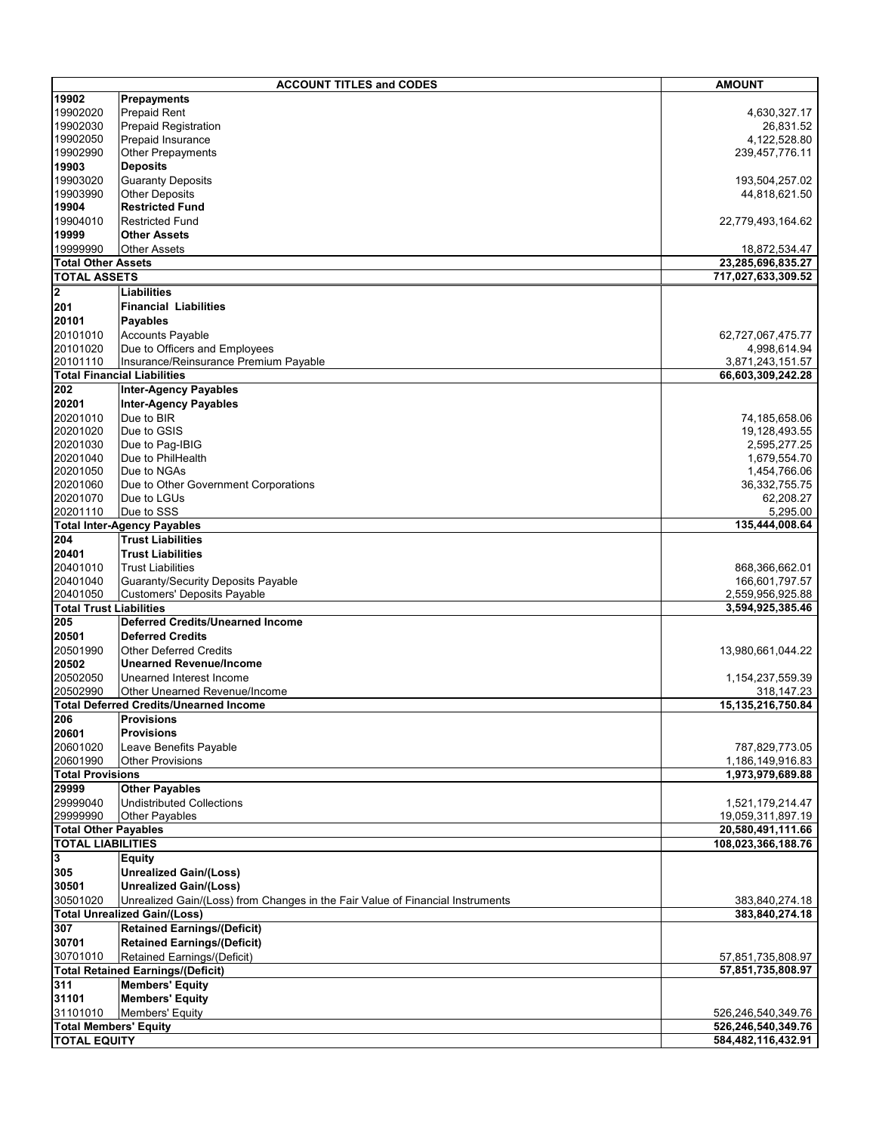|                                            | <b>ACCOUNT TITLES and CODES</b>                                                | <b>AMOUNT</b>                        |
|--------------------------------------------|--------------------------------------------------------------------------------|--------------------------------------|
| 19902                                      | Prepayments                                                                    |                                      |
| 19902020                                   | <b>Prepaid Rent</b>                                                            | 4,630,327.17                         |
| 19902030                                   | Prepaid Registration                                                           | 26,831.52                            |
| 19902050                                   | Prepaid Insurance                                                              | 4,122,528.80                         |
| 19902990                                   | <b>Other Prepayments</b>                                                       | 239,457,776.11                       |
| 19903                                      | <b>Deposits</b>                                                                |                                      |
| 19903020                                   | <b>Guaranty Deposits</b>                                                       | 193,504,257.02                       |
| 19903990<br>19904                          | <b>Other Deposits</b><br><b>Restricted Fund</b>                                | 44,818,621.50                        |
| 19904010                                   | <b>Restricted Fund</b>                                                         |                                      |
| 19999                                      | <b>Other Assets</b>                                                            | 22,779,493,164.62                    |
| 19999990                                   | <b>Other Assets</b>                                                            | 18,872,534.47                        |
| <b>Total Other Assets</b>                  |                                                                                | 23,285,696,835.27                    |
| <b>TOTAL ASSETS</b>                        |                                                                                | 717,027,633,309.52                   |
| $\overline{\mathbf{2}}$                    | Liabilities                                                                    |                                      |
| 201                                        | <b>Financial Liabilities</b>                                                   |                                      |
| 20101                                      | <b>Payables</b>                                                                |                                      |
| 20101010                                   | <b>Accounts Payable</b>                                                        | 62,727,067,475.77                    |
| 20101020                                   | Due to Officers and Employees                                                  | 4,998,614.94                         |
| 20101110                                   | Insurance/Reinsurance Premium Payable                                          | 3,871,243,151.57                     |
|                                            | <b>Total Financial Liabilities</b>                                             | 66,603,309,242.28                    |
| 202                                        | <b>Inter-Agency Payables</b>                                                   |                                      |
| 20201                                      | <b>Inter-Agency Payables</b>                                                   |                                      |
| 20201010                                   | Due to BIR                                                                     | 74,185,658.06                        |
| 20201020<br>20201030                       | Due to GSIS<br>Due to Pag-IBIG                                                 | 19,128,493.55<br>2,595,277.25        |
| 20201040                                   | Due to PhilHealth                                                              | 1,679,554.70                         |
| 20201050                                   | Due to NGAs                                                                    | 1,454,766.06                         |
| 20201060                                   | Due to Other Government Corporations                                           | 36,332,755.75                        |
| 20201070                                   | Due to LGUs                                                                    | 62,208.27                            |
| 20201110                                   | Due to SSS                                                                     | 5,295.00                             |
|                                            | <b>Total Inter-Agency Payables</b>                                             | 135,444,008.64                       |
| 204                                        | <b>Trust Liabilities</b>                                                       |                                      |
| 20401                                      | <b>Trust Liabilities</b>                                                       |                                      |
| 20401010                                   | <b>Trust Liabilities</b>                                                       | 868,366,662.01                       |
| 20401040                                   | <b>Guaranty/Security Deposits Payable</b>                                      | 166,601,797.57                       |
| 20401050<br><b>Total Trust Liabilities</b> | Customers' Deposits Payable                                                    | 2,559,956,925.88<br>3,594,925,385.46 |
| 205                                        | <b>Deferred Credits/Unearned Income</b>                                        |                                      |
| 20501                                      | <b>Deferred Credits</b>                                                        |                                      |
| 20501990                                   | <b>Other Deferred Credits</b>                                                  | 13,980,661,044.22                    |
| 20502                                      | <b>Unearned Revenue/Income</b>                                                 |                                      |
| 20502050                                   | Unearned Interest Income                                                       | 1,154,237,559.39                     |
| 20502990                                   | Other Unearned Revenue/Income                                                  | 318,147.23                           |
|                                            | <b>Total Deferred Credits/Unearned Income</b>                                  | 15,135,216,750.84                    |
| 206                                        | <b>Provisions</b>                                                              |                                      |
| 20601                                      | <b>Provisions</b>                                                              |                                      |
| 20601020                                   | Leave Benefits Payable                                                         | 787,829,773.05                       |
| 20601990                                   | <b>Other Provisions</b>                                                        | 1,186,149,916.83                     |
| <b>Total Provisions</b><br>29999           | <b>Other Payables</b>                                                          | 1,973,979,689.88                     |
| 29999040                                   | <b>Undistributed Collections</b>                                               | 1,521,179,214.47                     |
| 29999990                                   | Other Payables                                                                 | 19,059,311,897.19                    |
| <b>Total Other Payables</b>                |                                                                                | 20,580,491,111.66                    |
| <b>TOTAL LIABILITIES</b>                   |                                                                                | 108.023.366.188.76                   |
| 3                                          | <b>Equity</b>                                                                  |                                      |
| 305                                        | <b>Unrealized Gain/(Loss)</b>                                                  |                                      |
| 30501                                      | <b>Unrealized Gain/(Loss)</b>                                                  |                                      |
| 30501020                                   | Unrealized Gain/(Loss) from Changes in the Fair Value of Financial Instruments | 383,840,274.18                       |
|                                            | <b>Total Unrealized Gain/(Loss)</b>                                            | 383,840,274.18                       |
| 307                                        | <b>Retained Earnings/(Deficit)</b>                                             |                                      |
| 30701                                      | <b>Retained Earnings/(Deficit)</b>                                             |                                      |
| 30701010                                   | Retained Earnings/(Deficit)                                                    | 57,851,735,808.97                    |
|                                            | <b>Total Retained Earnings/(Deficit)</b>                                       | 57,851,735,808.97                    |
| 311                                        | <b>Members' Equity</b>                                                         |                                      |
| 31101<br>31101010                          | <b>Members' Equity</b><br><b>Members' Equity</b>                               | 526,246,540,349.76                   |
| <b>Total Members' Equity</b>               |                                                                                | 526,246,540,349.76                   |
| <b>TOTAL EQUITY</b>                        |                                                                                | 584,482,116,432.91                   |
|                                            |                                                                                |                                      |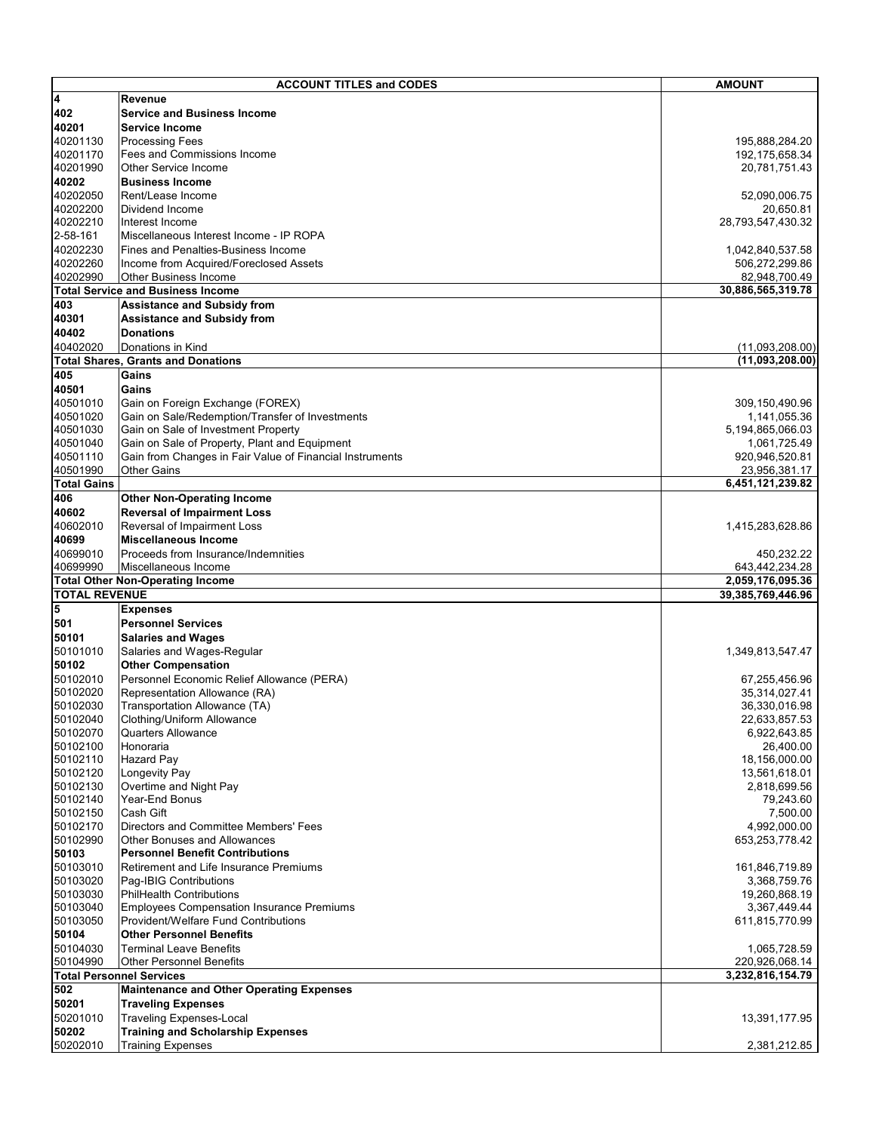|                         | <b>ACCOUNT TITLES and CODES</b>                                                          | <b>AMOUNT</b>                      |
|-------------------------|------------------------------------------------------------------------------------------|------------------------------------|
| $\overline{\mathbf{4}}$ | Revenue                                                                                  |                                    |
| 402                     | <b>Service and Business Income</b>                                                       |                                    |
| 40201                   | Service Income                                                                           |                                    |
| 40201130                | <b>Processing Fees</b>                                                                   | 195,888,284.20                     |
| 40201170                | Fees and Commissions Income                                                              | 192,175,658.34                     |
| 40201990                | Other Service Income                                                                     | 20,781,751.43                      |
| 40202                   | <b>Business Income</b>                                                                   |                                    |
| 40202050                | Rent/Lease Income                                                                        | 52,090,006.75                      |
| 40202200                | Dividend Income                                                                          | 20,650.81                          |
| 40202210                | Interest Income                                                                          | 28,793,547,430.32                  |
| 2-58-161                | Miscellaneous Interest Income - IP ROPA                                                  |                                    |
| 40202230                | lFines and Penalties-Business Income                                                     | 1,042,840,537.58                   |
| 40202260                | Income from Acquired/Foreclosed Assets                                                   | 506,272,299.86                     |
| 40202990                | <b>Other Business Income</b><br><b>Total Service and Business Income</b>                 | 82,948,700.49<br>30,886,565,319.78 |
| 403                     | <b>Assistance and Subsidy from</b>                                                       |                                    |
| 40301                   | <b>Assistance and Subsidy from</b>                                                       |                                    |
| 40402                   | <b>Donations</b>                                                                         |                                    |
| 40402020                | Donations in Kind                                                                        | (11,093,208.00)                    |
|                         | <b>Total Shares, Grants and Donations</b>                                                | (11,093,208.00)                    |
| 405                     | Gains                                                                                    |                                    |
| 40501                   | Gains                                                                                    |                                    |
| 40501010                | Gain on Foreign Exchange (FOREX)                                                         | 309,150,490.96                     |
| 40501020                | Gain on Sale/Redemption/Transfer of Investments                                          | 1,141,055.36                       |
| 40501030                | Gain on Sale of Investment Property                                                      | 5,194,865,066.03                   |
| 40501040                | Gain on Sale of Property, Plant and Equipment                                            | 1,061,725.49                       |
| 40501110                | Gain from Changes in Fair Value of Financial Instruments                                 | 920,946,520.81                     |
| 40501990                | <b>Other Gains</b>                                                                       | 23,956,381.17                      |
| <b>Total Gains</b>      |                                                                                          | 6,451,121,239.82                   |
| 406                     | <b>Other Non-Operating Income</b>                                                        |                                    |
| 40602                   | <b>Reversal of Impairment Loss</b>                                                       |                                    |
| 40602010                | Reversal of Impairment Loss                                                              | 1,415,283,628.86                   |
| 40699                   | <b>Miscellaneous Income</b>                                                              |                                    |
| 40699010                | Proceeds from Insurance/Indemnities                                                      | 450,232.22                         |
| 40699990                | Miscellaneous Income                                                                     | 643,442,234.28                     |
|                         | <b>Total Other Non-Operating Income</b>                                                  | 2,059,176,095.36                   |
| <b>TOTAL REVENUE</b>    |                                                                                          | 39,385,769,446.96                  |
| 5                       | <b>Expenses</b>                                                                          |                                    |
| 501                     | <b>Personnel Services</b>                                                                |                                    |
| 50101                   | <b>Salaries and Wages</b>                                                                |                                    |
| 50101010<br>50102       | Salaries and Wages-Regular<br><b>Other Compensation</b>                                  | 1,349,813,547.47                   |
| 50102010                | Personnel Economic Relief Allowance (PERA)                                               | 67,255,456.96                      |
| 50102020                | Representation Allowance (RA)                                                            | 35,314,027.41                      |
| 50102030                | Transportation Allowance (TA)                                                            | 36,330,016.98                      |
| 50102040                | Clothing/Uniform Allowance                                                               | 22,633,857.53                      |
| 50102070                | Quarters Allowance                                                                       | 6,922,643.85                       |
| 50102100                | Honoraria                                                                                | 26,400.00                          |
| 50102110                | <b>Hazard Pay</b>                                                                        | 18,156,000.00                      |
| 50102120                | Longevity Pay                                                                            | 13,561,618.01                      |
| 50102130                | Overtime and Night Pay                                                                   | 2,818,699.56                       |
| 50102140                | Year-End Bonus                                                                           | 79,243.60                          |
| 50102150                | Cash Gift                                                                                | 7,500.00                           |
| 50102170                | Directors and Committee Members' Fees                                                    | 4,992,000.00                       |
| 50102990                | <b>Other Bonuses and Allowances</b>                                                      | 653,253,778.42                     |
| 50103                   | <b>Personnel Benefit Contributions</b>                                                   |                                    |
| 50103010                | Retirement and Life Insurance Premiums                                                   | 161,846,719.89                     |
| 50103020                | Pag-IBIG Contributions                                                                   | 3,368,759.76                       |
| 50103030<br>50103040    | <b>PhilHealth Contributions</b>                                                          | 19,260,868.19                      |
| 50103050                | <b>Employees Compensation Insurance Premiums</b><br>Provident/Welfare Fund Contributions | 3,367,449.44                       |
| 50104                   | <b>Other Personnel Benefits</b>                                                          | 611,815,770.99                     |
| 50104030                | <b>Terminal Leave Benefits</b>                                                           | 1,065,728.59                       |
| 50104990                | <b>Other Personnel Benefits</b>                                                          | 220,926,068.14                     |
|                         | <b>Total Personnel Services</b>                                                          | 3,232,816,154.79                   |
| 502                     | <b>Maintenance and Other Operating Expenses</b>                                          |                                    |
| 50201                   | <b>Traveling Expenses</b>                                                                |                                    |
| 50201010                | <b>Traveling Expenses-Local</b>                                                          | 13,391,177.95                      |
| 50202                   | Training and Scholarship Expenses                                                        |                                    |
| 50202010                | <b>Training Expenses</b>                                                                 | 2,381,212.85                       |
|                         |                                                                                          |                                    |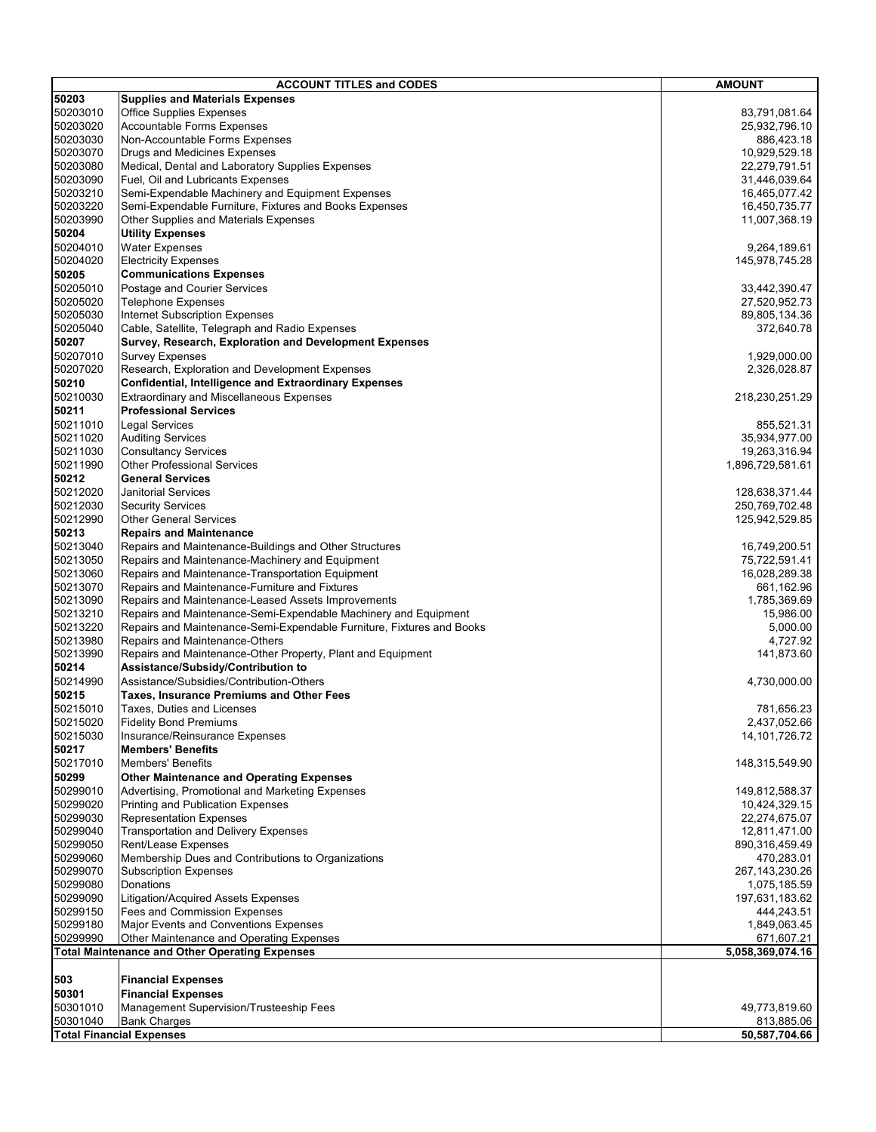| <b>ACCOUNT TITLES and CODES</b>                  |                                                                       | <b>AMOUNT</b>                    |
|--------------------------------------------------|-----------------------------------------------------------------------|----------------------------------|
| 50203                                            | <b>Supplies and Materials Expenses</b>                                |                                  |
| 50203010                                         | <b>Office Supplies Expenses</b>                                       | 83,791,081.64                    |
| 50203020                                         | <b>Accountable Forms Expenses</b>                                     | 25,932,796.10                    |
| 50203030                                         | Non-Accountable Forms Expenses                                        | 886,423.18                       |
| 50203070                                         | Drugs and Medicines Expenses                                          | 10,929,529.18                    |
| 50203080                                         | Medical, Dental and Laboratory Supplies Expenses                      | 22,279,791.51                    |
| 50203090                                         | Fuel, Oil and Lubricants Expenses                                     | 31,446,039.64                    |
| 50203210                                         | Semi-Expendable Machinery and Equipment Expenses                      | 16,465,077.42                    |
| 50203220                                         | Semi-Expendable Furniture, Fixtures and Books Expenses                | 16,450,735.77                    |
| 50203990                                         | Other Supplies and Materials Expenses                                 | 11,007,368.19                    |
| 50204                                            | <b>Utility Expenses</b>                                               |                                  |
| 50204010                                         | <b>Water Expenses</b>                                                 | 9,264,189.61                     |
| 50204020                                         | <b>Electricity Expenses</b>                                           | 145,978,745.28                   |
| 50205                                            | <b>Communications Expenses</b>                                        |                                  |
| 50205010                                         | Postage and Courier Services                                          | 33,442,390.47                    |
| 50205020                                         | <b>Telephone Expenses</b>                                             | 27,520,952.73                    |
| 50205030                                         | Internet Subscription Expenses                                        | 89,805,134.36                    |
| 50205040                                         | Cable, Satellite, Telegraph and Radio Expenses                        | 372,640.78                       |
| 50207                                            | Survey, Research, Exploration and Development Expenses                |                                  |
| 50207010                                         | <b>Survey Expenses</b>                                                | 1,929,000.00                     |
| 50207020                                         | Research, Exploration and Development Expenses                        | 2,326,028.87                     |
| 50210                                            | <b>Confidential, Intelligence and Extraordinary Expenses</b>          |                                  |
| 50210030                                         | <b>Extraordinary and Miscellaneous Expenses</b>                       | 218,230,251.29                   |
| 50211                                            | <b>Professional Services</b>                                          |                                  |
| 50211010                                         | <b>Legal Services</b>                                                 | 855,521.31                       |
| 50211020                                         | <b>Auditing Services</b>                                              | 35,934,977.00                    |
| 50211030<br>50211990                             | <b>Consultancy Services</b>                                           | 19,263,316.94                    |
| 50212                                            | <b>Other Professional Services</b><br><b>General Services</b>         | 1,896,729,581.61                 |
| 50212020                                         | Janitorial Services                                                   |                                  |
| 50212030                                         | <b>Security Services</b>                                              | 128,638,371.44<br>250,769,702.48 |
| 50212990                                         | <b>Other General Services</b>                                         | 125,942,529.85                   |
| 50213                                            | <b>Repairs and Maintenance</b>                                        |                                  |
| 50213040                                         | Repairs and Maintenance-Buildings and Other Structures                | 16,749,200.51                    |
| 50213050                                         | Repairs and Maintenance-Machinery and Equipment                       | 75,722,591.41                    |
| 50213060                                         | Repairs and Maintenance-Transportation Equipment                      | 16,028,289.38                    |
| 50213070                                         | Repairs and Maintenance-Furniture and Fixtures                        | 661,162.96                       |
| 50213090                                         | Repairs and Maintenance-Leased Assets Improvements                    | 1,785,369.69                     |
| 50213210                                         | Repairs and Maintenance-Semi-Expendable Machinery and Equipment       | 15,986.00                        |
| 50213220                                         | Repairs and Maintenance-Semi-Expendable Furniture, Fixtures and Books | 5,000.00                         |
| 50213980                                         | Repairs and Maintenance-Others                                        | 4,727.92                         |
| 50213990                                         | Repairs and Maintenance-Other Property, Plant and Equipment           | 141,873.60                       |
| 50214                                            | Assistance/Subsidy/Contribution to                                    |                                  |
| 50214990                                         | Assistance/Subsidies/Contribution-Others                              | 4,730,000.00                     |
| 50215                                            | <b>Taxes, Insurance Premiums and Other Fees</b>                       |                                  |
| 50215010                                         | Taxes, Duties and Licenses                                            | 781,656.23                       |
| 50215020                                         | <b>Fidelity Bond Premiums</b>                                         | 2,437,052.66                     |
| 50215030                                         | Insurance/Reinsurance Expenses                                        | 14, 101, 726. 72                 |
| 50217                                            | <b>Members' Benefits</b>                                              |                                  |
| 50217010                                         | <b>Members' Benefits</b>                                              | 148,315,549.90                   |
| 50299                                            | <b>Other Maintenance and Operating Expenses</b>                       |                                  |
| 50299010                                         | Advertising, Promotional and Marketing Expenses                       | 149,812,588.37                   |
| 50299020                                         | <b>Printing and Publication Expenses</b>                              | 10,424,329.15                    |
| 50299030                                         | <b>Representation Expenses</b>                                        | 22,274,675.07                    |
| 50299040                                         | <b>Transportation and Delivery Expenses</b>                           | 12,811,471.00                    |
| 50299050                                         | Rent/Lease Expenses                                                   | 890,316,459.49                   |
| 50299060                                         | Membership Dues and Contributions to Organizations                    | 470,283.01                       |
| 50299070                                         | <b>Subscription Expenses</b>                                          | 267, 143, 230. 26                |
| 50299080                                         | Donations                                                             | 1,075,185.59                     |
| 50299090                                         | Litigation/Acquired Assets Expenses                                   | 197,631,183.62                   |
| 50299150                                         | Fees and Commission Expenses                                          | 444,243.51                       |
| 50299180                                         | Major Events and Conventions Expenses                                 | 1,849,063.45                     |
| 50299990                                         | Other Maintenance and Operating Expenses                              | 671,607.21                       |
|                                                  | <b>Total Maintenance and Other Operating Expenses</b>                 | 5,058,369,074.16                 |
| 503                                              | <b>Financial Expenses</b>                                             |                                  |
| 50301                                            | <b>Financial Expenses</b>                                             |                                  |
| 50301010                                         | Management Supervision/Trusteeship Fees                               | 49,773,819.60                    |
| 50301040                                         | <b>Bank Charges</b>                                                   | 813,885.06                       |
| 50,587,704.66<br><b>Total Financial Expenses</b> |                                                                       |                                  |